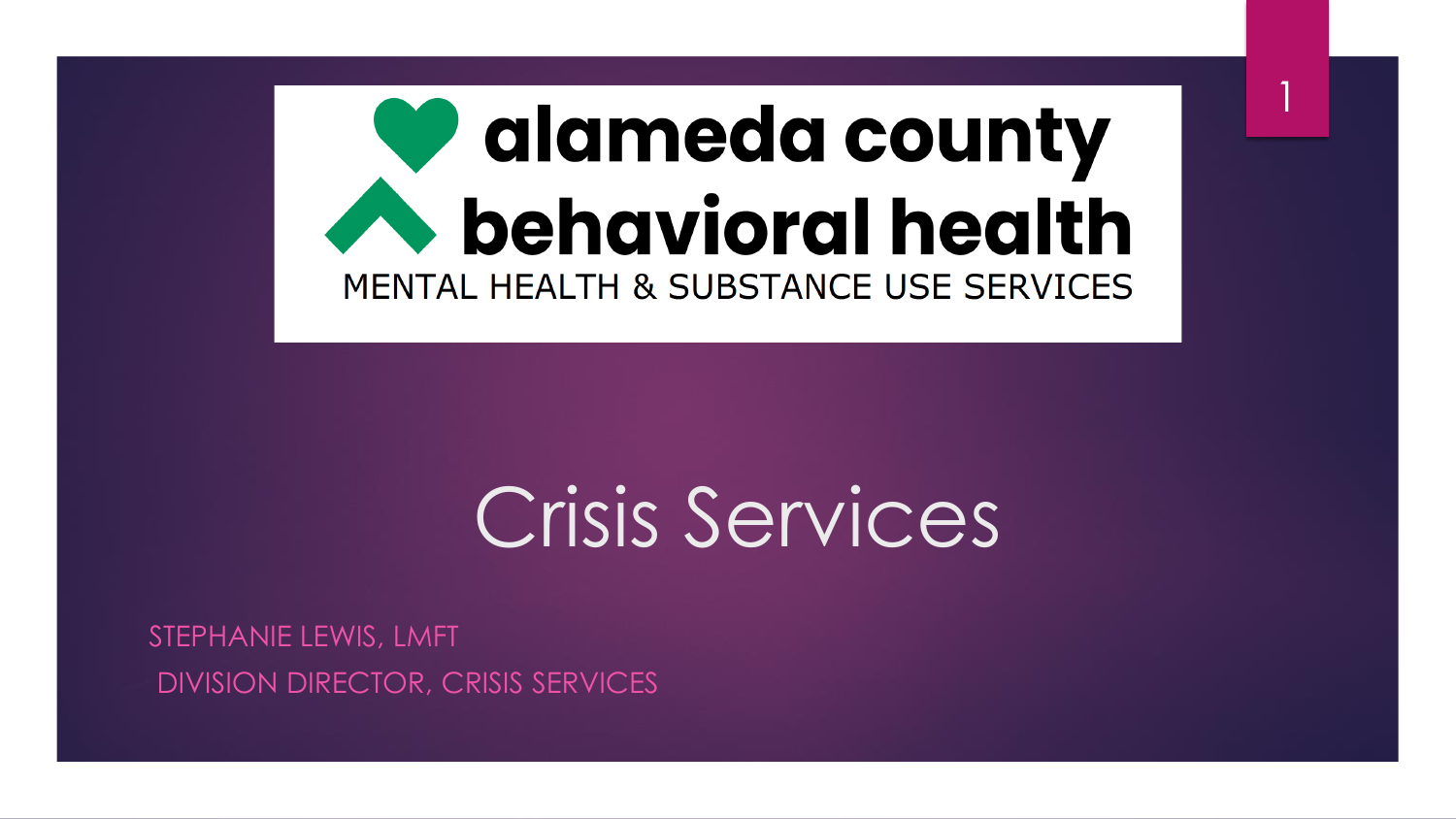# alameda county **A** behavioral health MENTAL HEALTH & SUBSTANCE USE SERVICES

1

# Crisis Services

STEPHANIE LEWIS, LMFT DIVISION DIRECTOR, CRISIS SERVICES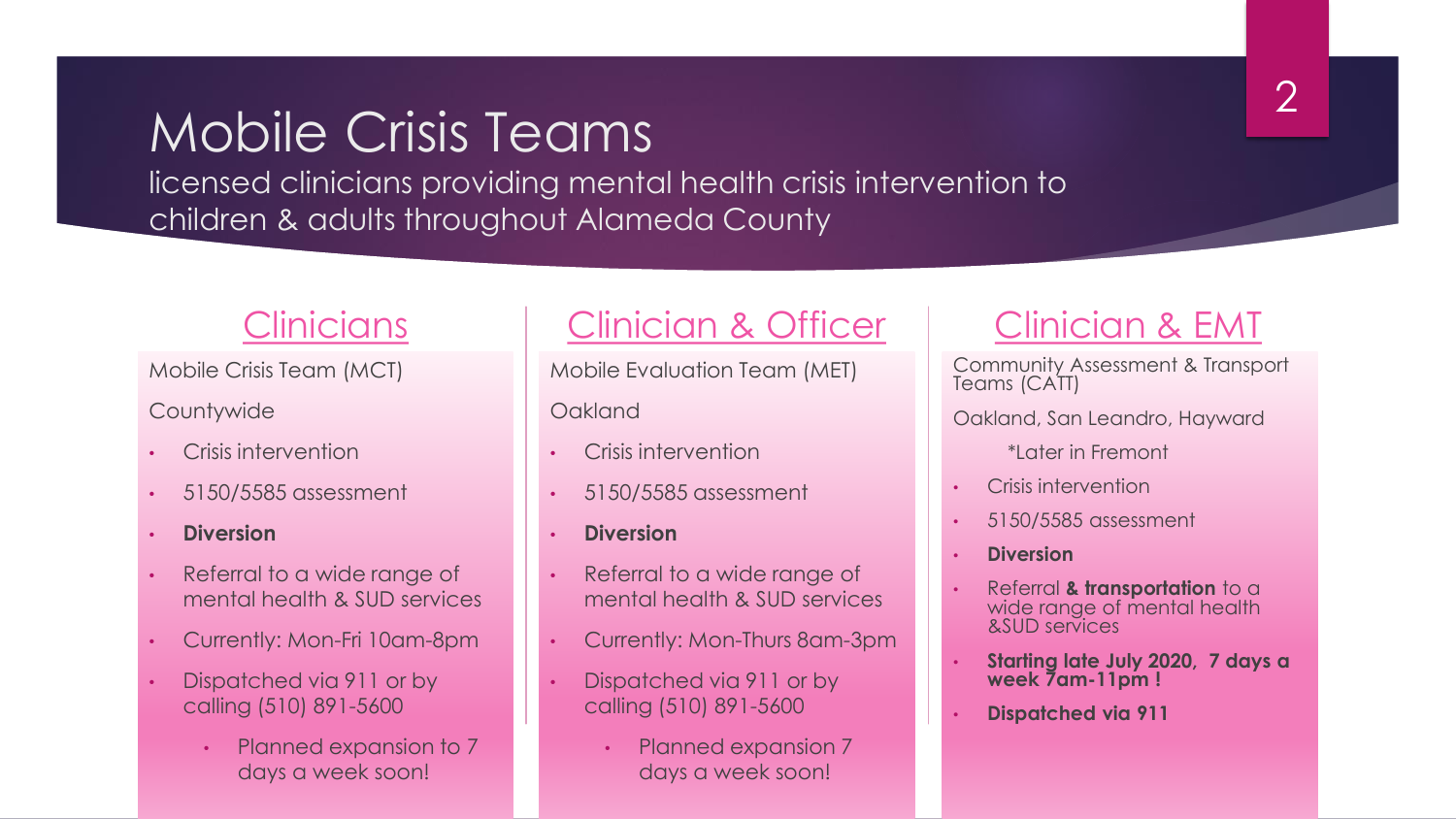## Mobile Crisis Teams

licensed clinicians providing mental health crisis intervention to children & adults throughout Alameda County

#### Clinicians

Mobile Crisis Team (MCT)

**Countywide** 

- Crisis intervention
- 5150/5585 assessment
- **Diversion**
- Referral to a wide range of mental health & SUD services
- Currently: Mon-Fri 10am-8pm
- Dispatched via 911 or by calling (510) 891-5600
	- Planned expansion to 7 days a week soon!

### Clinician & Officer

Mobile Evaluation Team (MET) **Oakland** 

- Crisis intervention
- 5150/5585 assessment
- **Diversion**
- Referral to a wide range of mental health & SUD services
- Currently: Mon-Thurs 8am-3pm
- Dispatched via 911 or by calling (510) 891-5600
	- Planned expansion 7 days a week soon!

### Clinician & EMT

Community Assessment & Transport Teams (CATT)

- Oakland, San Leandro, Hayward
	- \*Later in Fremont
- Crisis intervention
- 5150/5585 assessment
- **Diversion**
- Referral **& transportation** to a wide range of mental health &SUD services
- **Starting late July 2020, 7 days a week 7am-11pm !**
- **Dispatched via 911**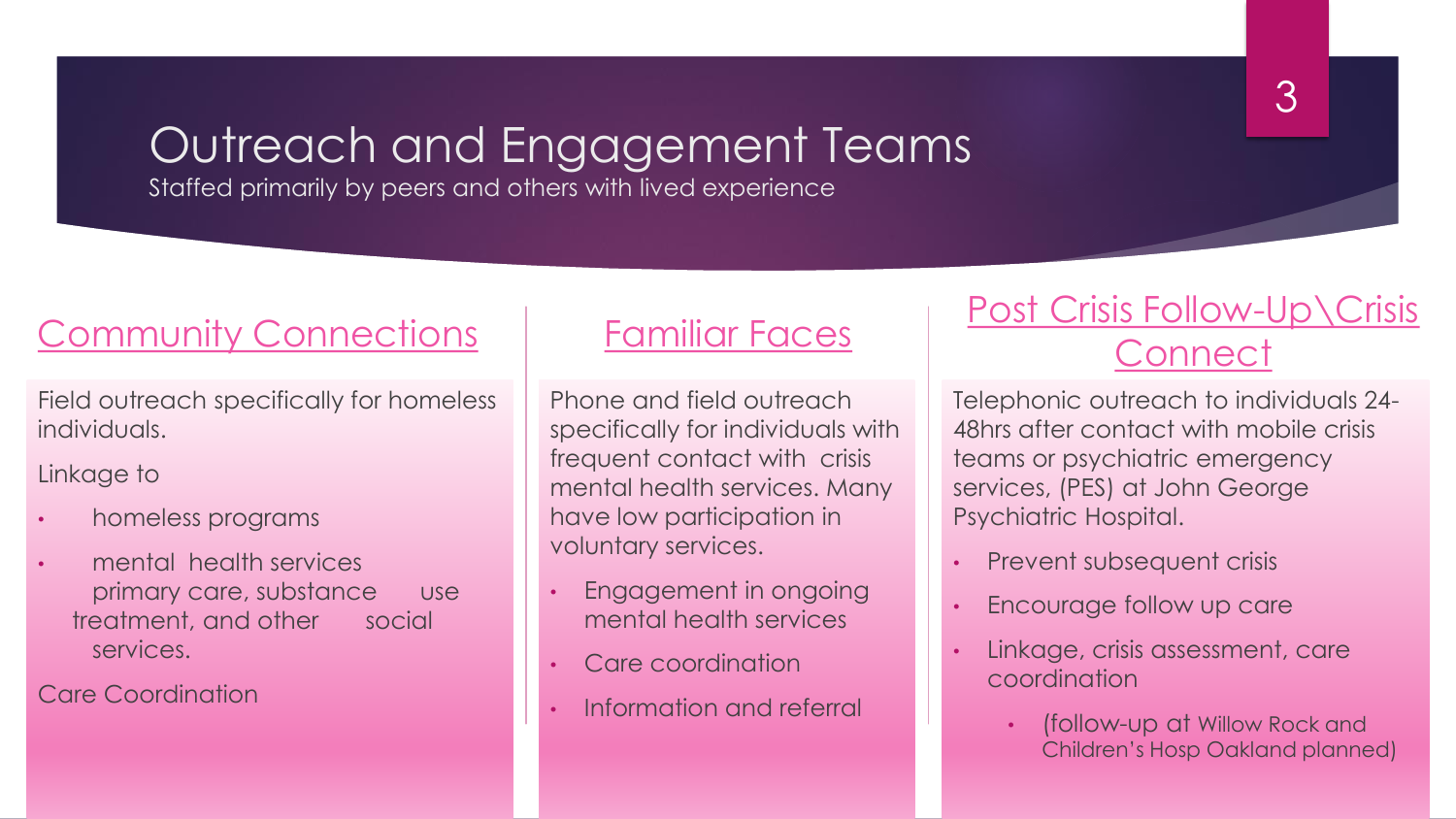### Outreach and Engagement Teams

Staffed primarily by peers and others with lived experience

### Community Connections

Field outreach specifically for homeless individuals.

#### Linkage to

- homeless programs
- mental health services primary care, substance use treatment, and other social services.

Care Coordination

#### Familiar Faces

Phone and field outreach specifically for individuals with frequent contact with crisis mental health services. Many have low participation in voluntary services.

- Engagement in ongoing mental health services
- Care coordination
- Information and referral

### Post Crisis Follow-Up\Crisis **Connect**

Telephonic outreach to individuals 24- 48hrs after contact with mobile crisis teams or psychiatric emergency services, (PES) at John George Psychiatric Hospital.

- Prevent subsequent crisis
- Encourage follow up care
- Linkage, crisis assessment, care coordination
	- (follow-up at Willow Rock and Children's Hosp Oakland planned)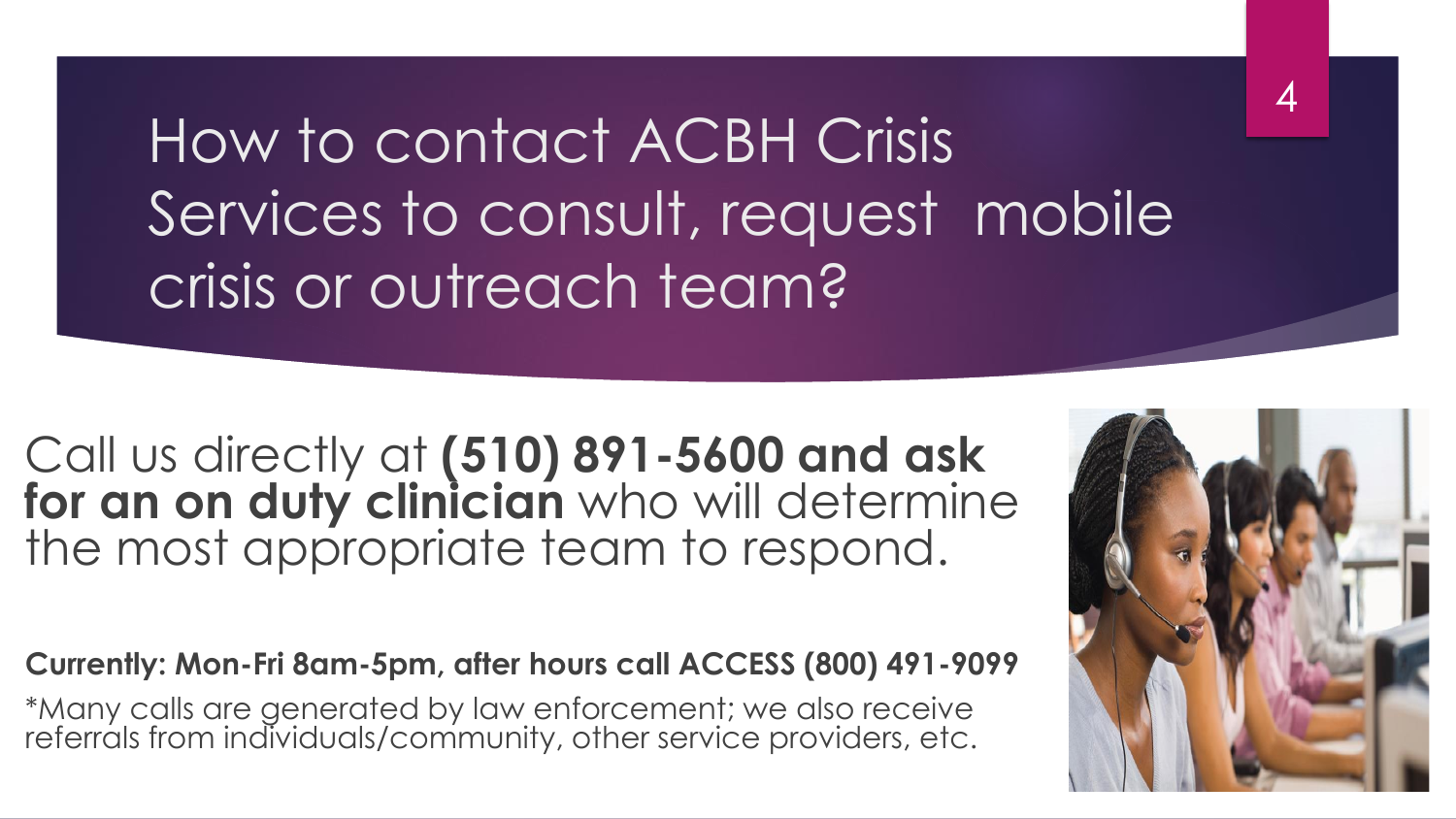How to contact ACBH Crisis Services to consult, request mobile crisis or outreach team?

Call us directly at **(510) 891-5600 and ask for an on duty clinician** who will determine the most appropriate team to respond.

#### **Currently: Mon-Fri 8am-5pm, after hours call ACCESS (800) 491-9099**

\*Many calls are generated by law enforcement; we also receive referrals from individuals/community, other service providers, etc.



4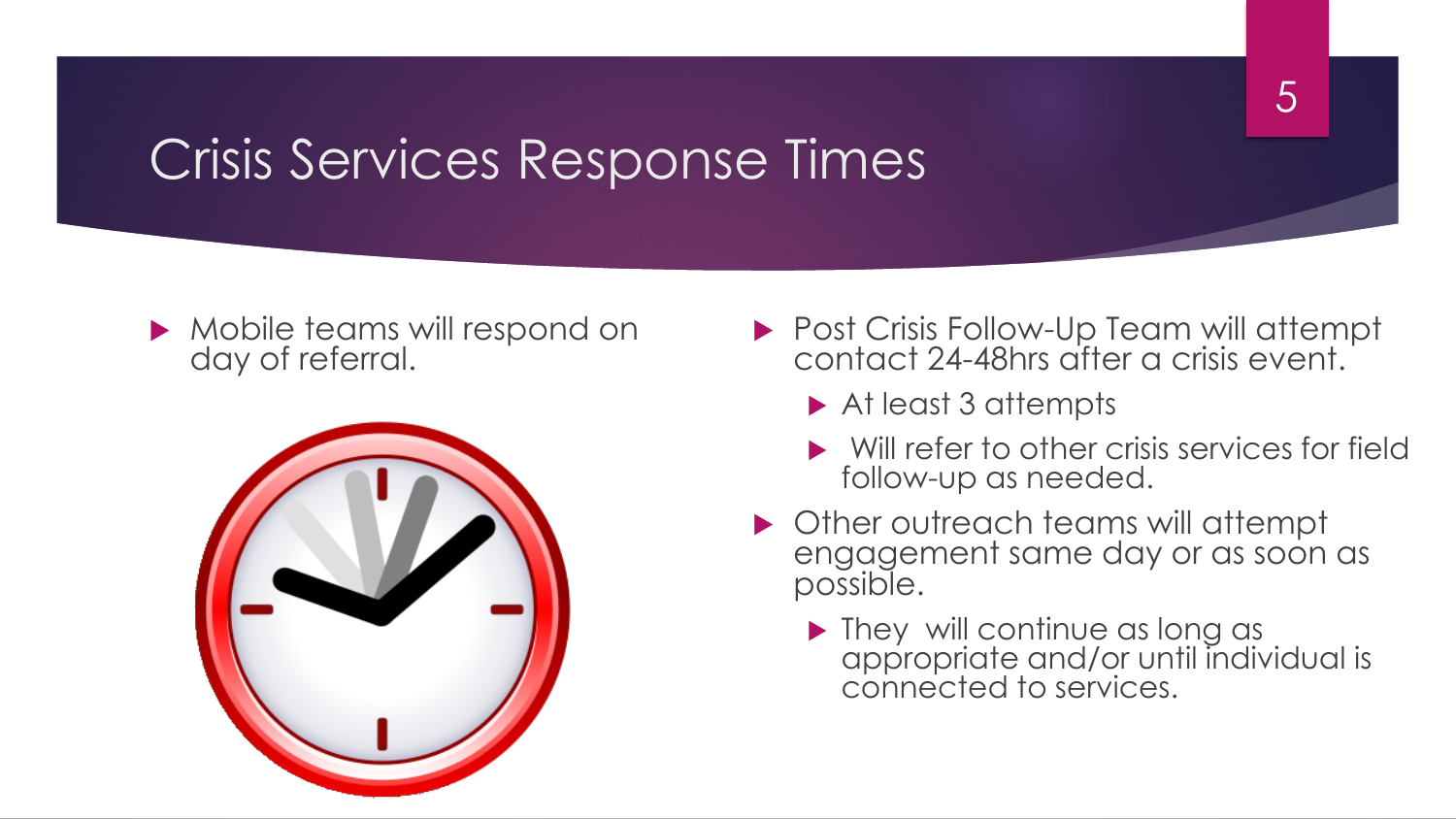## Crisis Services Response Times

Mobile teams will respond on day of referral.



- ▶ Post Crisis Follow-Up Team will attempt contact 24-48hrs after a crisis event.
	- ▶ At least 3 attempts
	- Will refer to other crisis services for field follow-up as needed.
- ▶ Other outreach teams will attempt engagement same day or as soon as possible.
	- **They will continue as long as 1** appropriate and/or until individual is connected to services.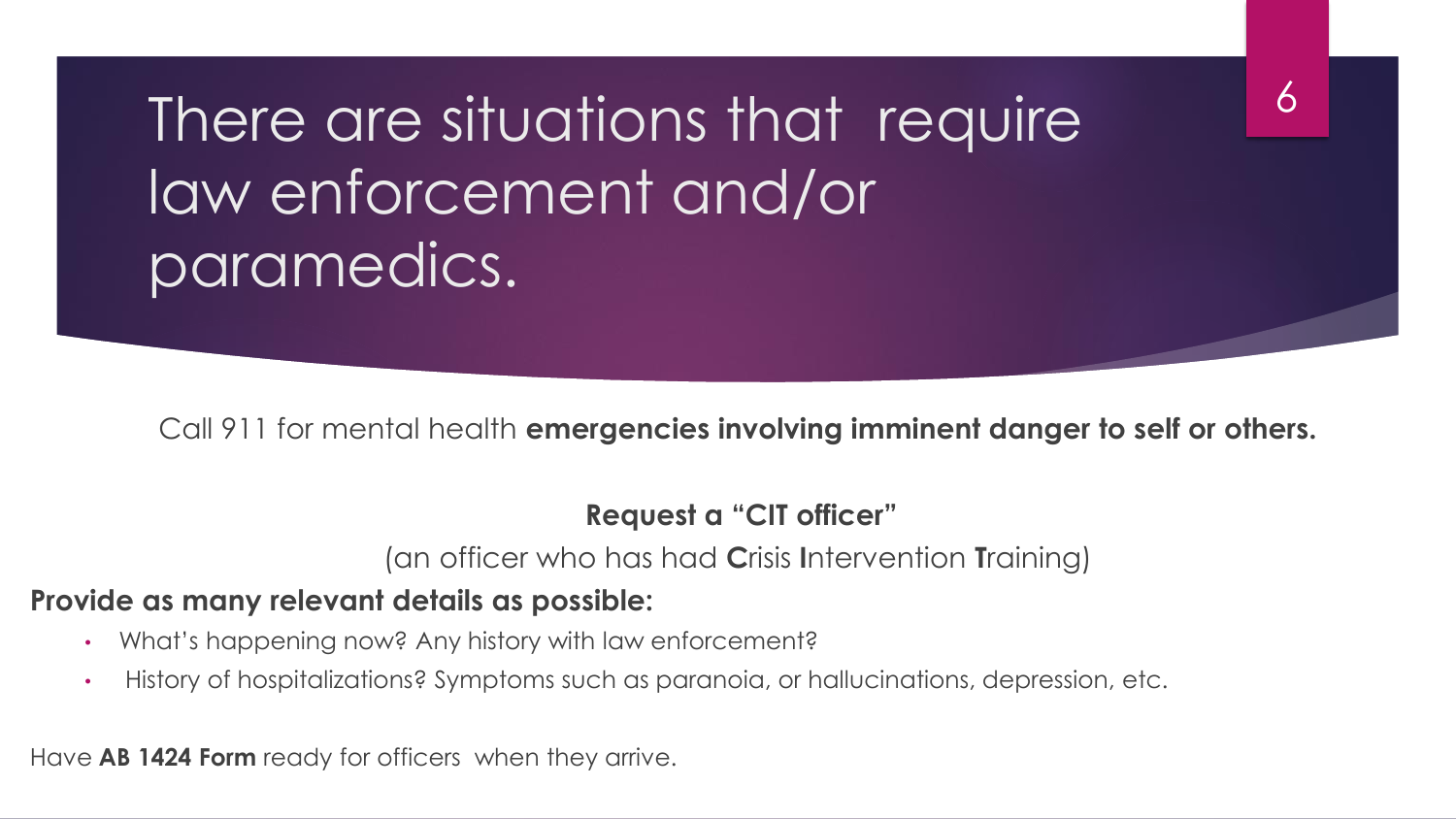There are situations that require law enforcement and/or paramedics.

Call 911 for mental health **emergencies involving imminent danger to self or others.**

#### **Request a "CIT officer"**

(an officer who has had **C**risis **I**ntervention **T**raining)

#### **Provide as many relevant details as possible:**

- What's happening now? Any history with law enforcement?
- History of hospitalizations? Symptoms such as paranoia, or hallucinations, depression, etc.

Have **AB 1424 Form** ready for officers when they arrive.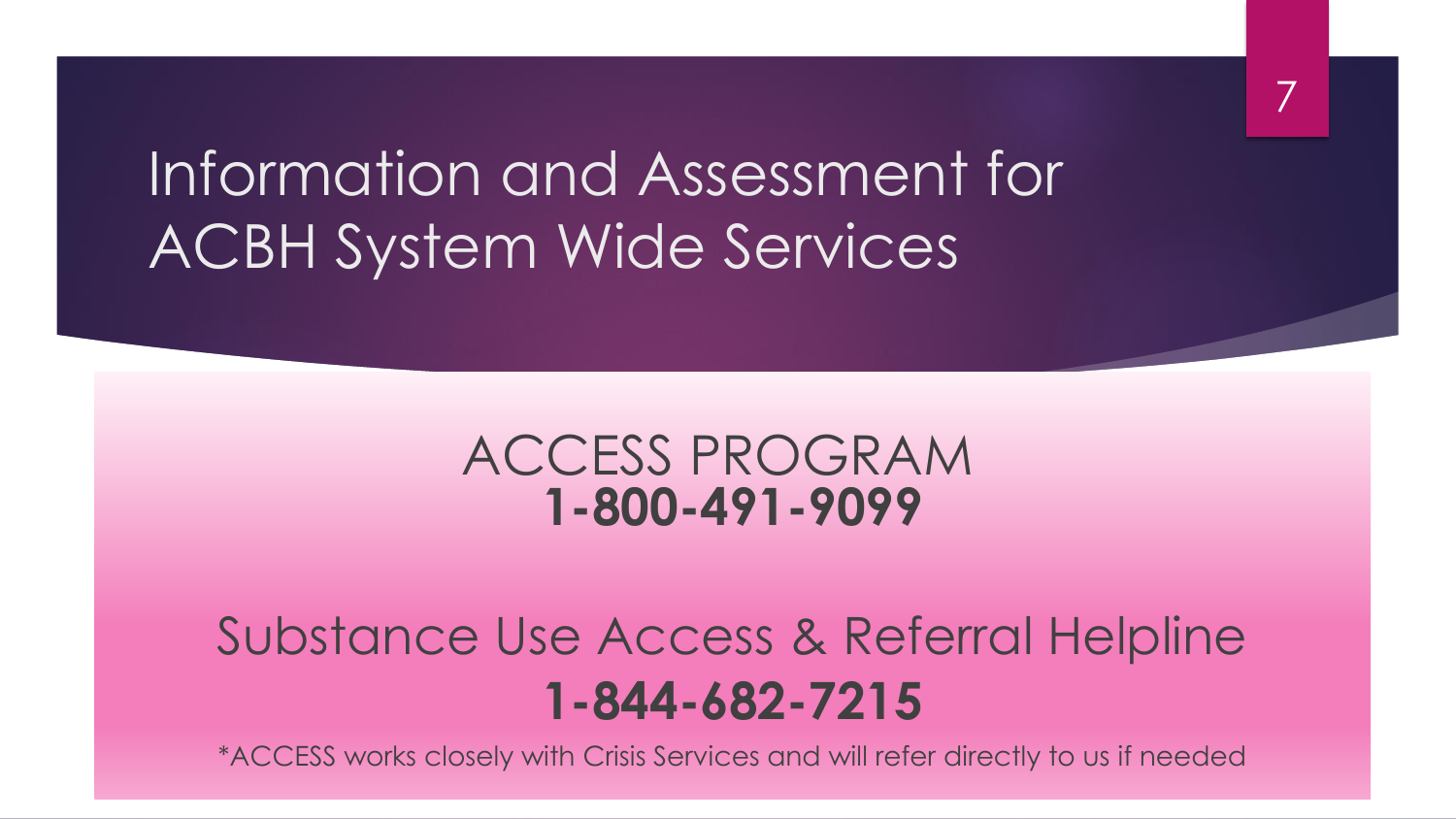Information and Assessment for ACBH System Wide Services

### ACCESS PROGRAM **1-800-491-9099**

## Substance Use Access & Referral Helpline **1-844-682-7215**

\*ACCESS works closely with Crisis Services and will refer directly to us if needed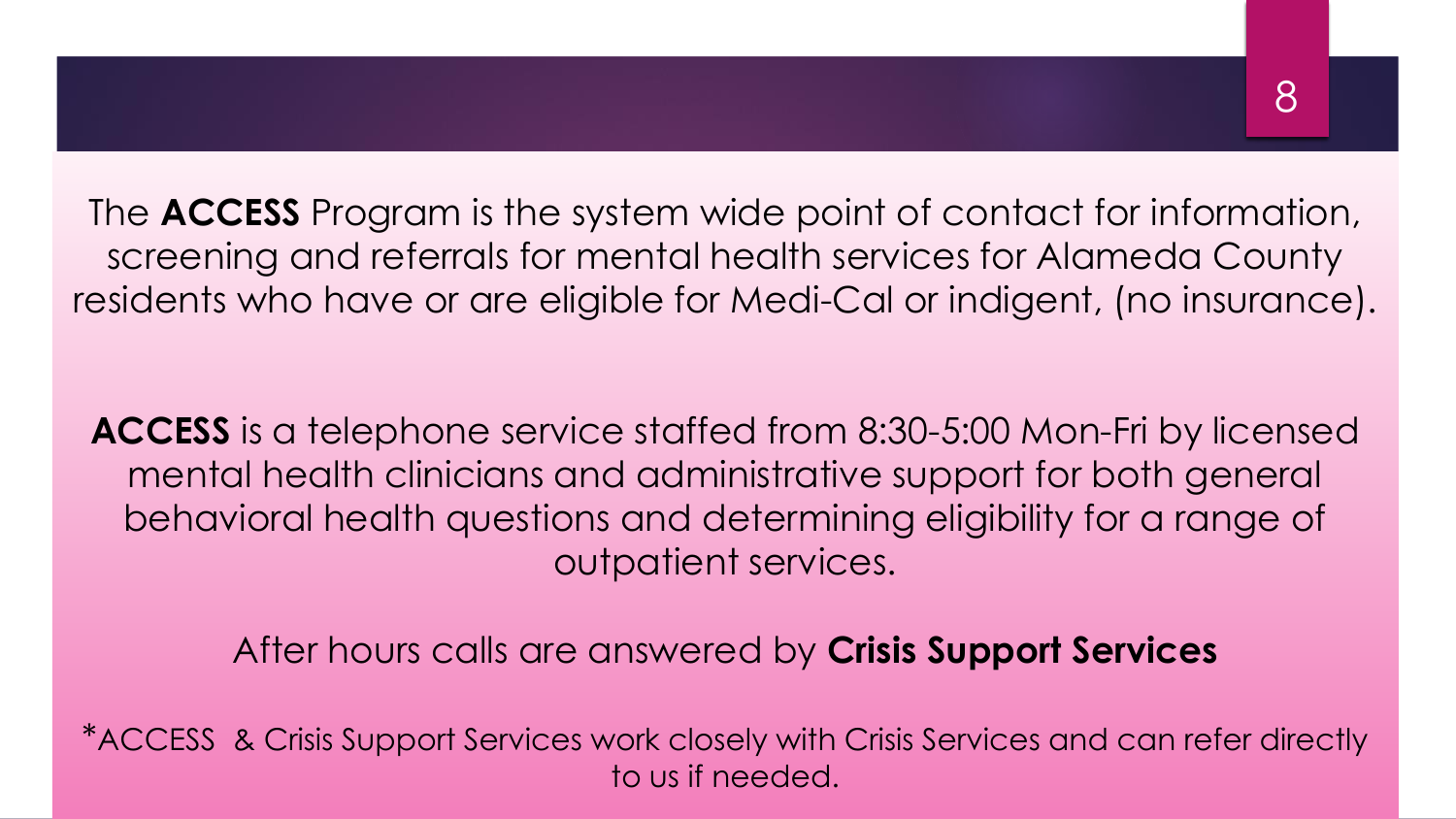The **ACCESS** Program is the system wide point of contact for information, screening and referrals for mental health services for Alameda County residents who have or are eligible for Medi-Cal or indigent, (no insurance).

**ACCESS** is a telephone service staffed from 8:30-5:00 Mon-Fri by licensed mental health clinicians and administrative support for both general behavioral health questions and determining eligibility for a range of outpatient services.

After hours calls are answered by **Crisis Support Services**

\*ACCESS & Crisis Support Services work closely with Crisis Services and can refer directly to us if needed.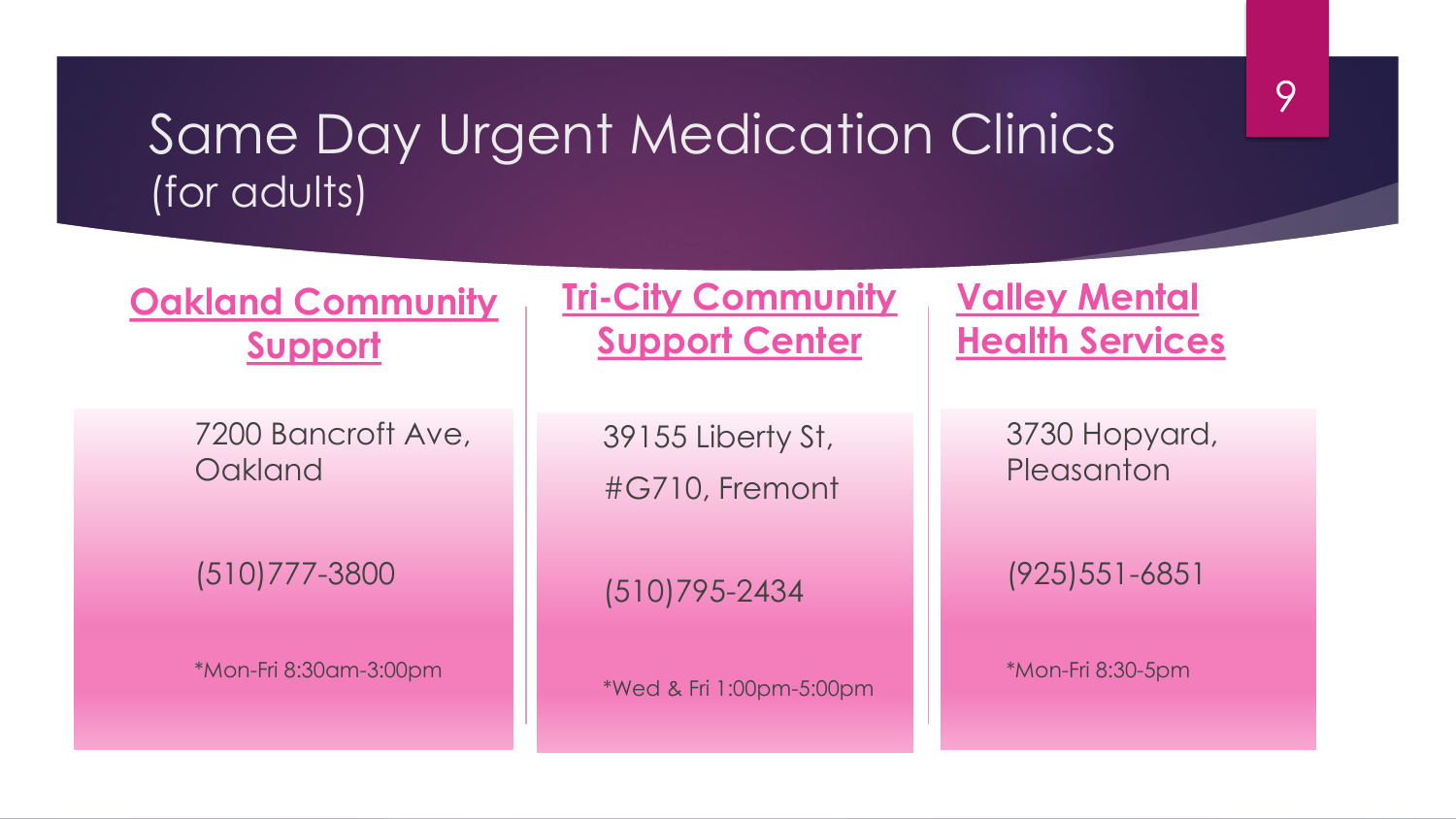### Same Day Urgent Medication Clinics (for adults)

### **Oakland Community Support**

7200 Bancroft Ave, **Oakland** 

(510)777-3800

\*Mon-Fri 8:30am-3:00pm

**Tri-City Community Support Center** 

> 39155 Liberty St, #G710, Fremont

(510)795-2434

\*Wed & Fri 1:00pm-5:00pm

#### **Valley Mental Health Services**

3730 Hopyard, **Pleasanton** 

(925)551-6851

\*Mon-Fri 8:30-5pm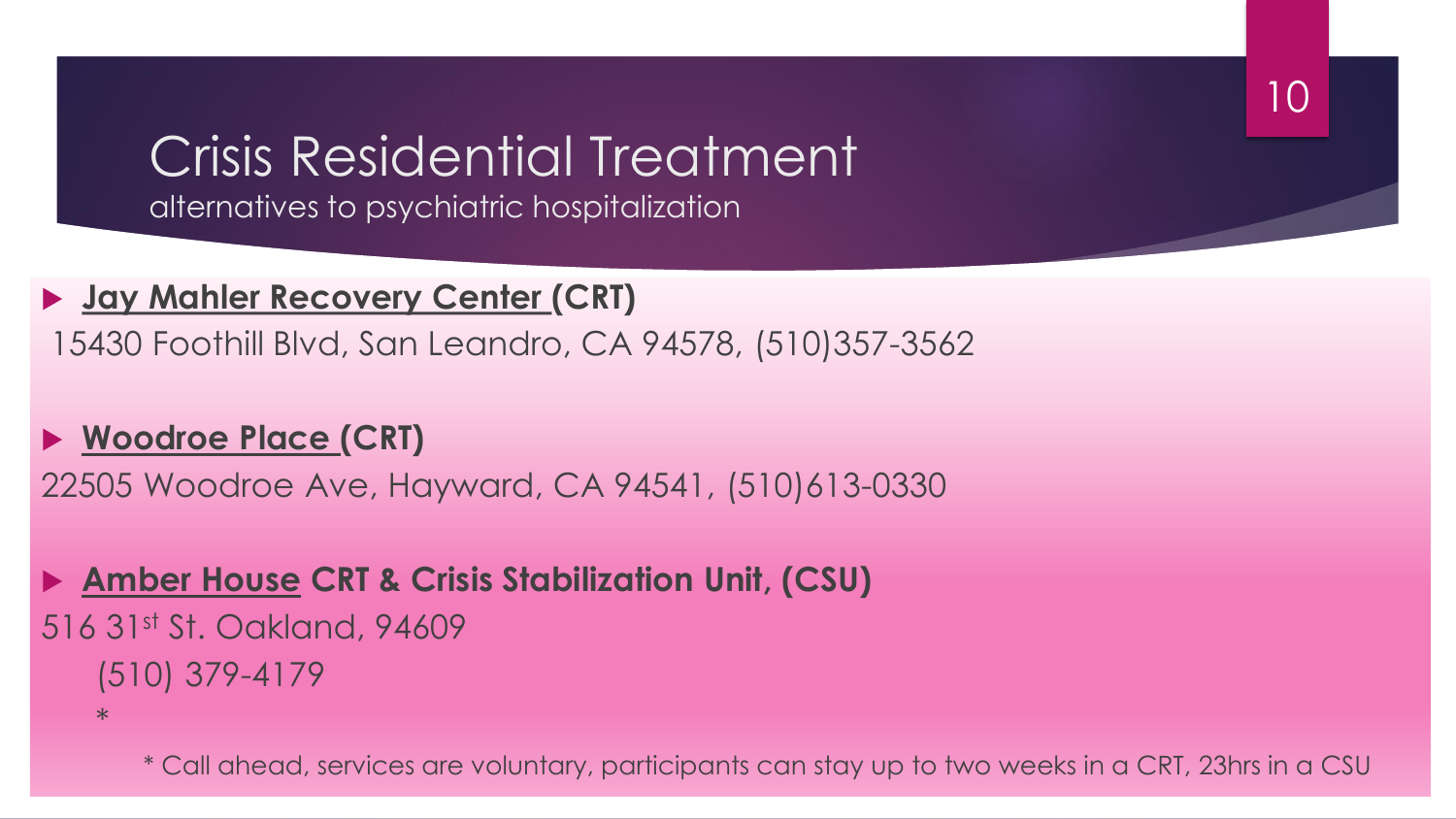### Crisis Residential Treatment alternatives to psychiatric hospitalization

#### **Jay Mahler Recovery Center (CRT)**

15430 Foothill Blvd, San Leandro, CA 94578, (510)357-3562

#### **Woodroe Place (CRT)**

22505 Woodroe Ave, Hayward, CA 94541, (510)613-0330

### **Amber House CRT & Crisis Stabilization Unit, (CSU)** 516 31st St. Oakland, 94609 (510) 379-4179

\*

\* Call ahead, services are voluntary, participants can stay up to two weeks in a CRT, 23hrs in a CSU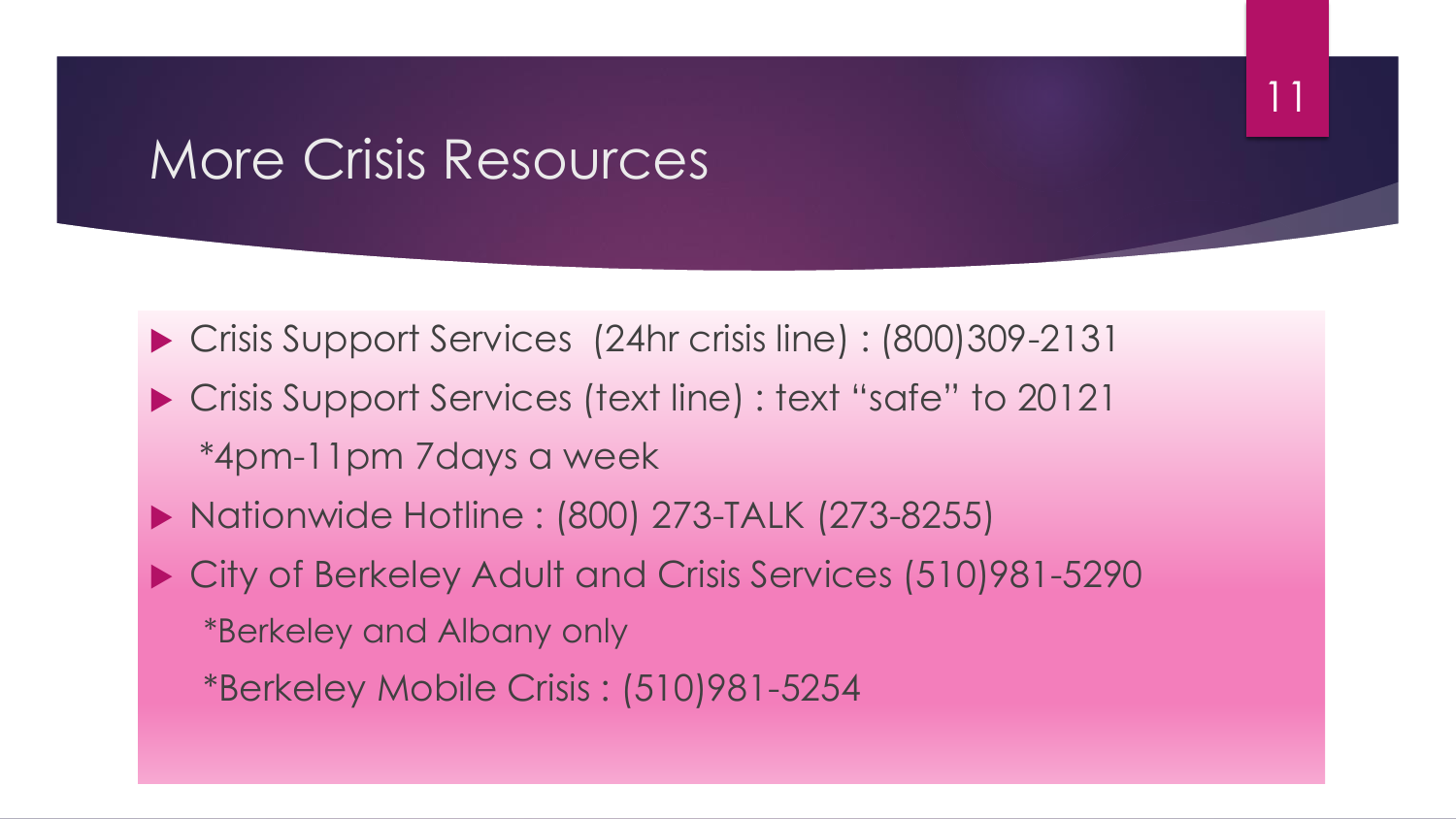## More Crisis Resources

 Crisis Support Services (24hr crisis line) : (800)309-2131 ▶ Crisis Support Services (text line) : text "safe" to 20121 \*4pm-11pm 7days a week

11

- ▶ Nationwide Hotline : (800) 273-TALK (273-8255)
- City of Berkeley Adult and Crisis Services (510)981-5290 \*Berkeley and Albany only

\*Berkeley Mobile Crisis : (510)981-5254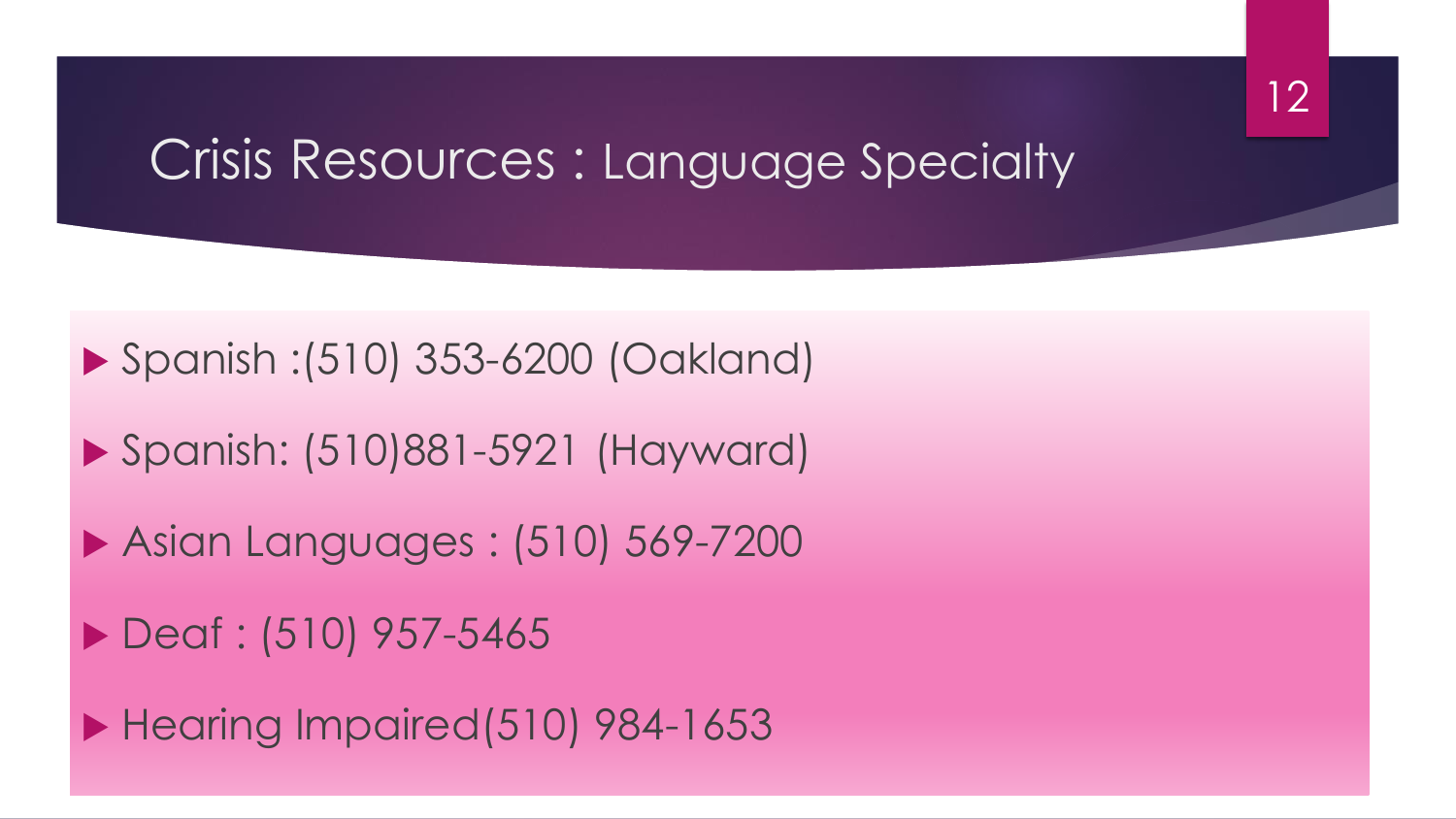## Crisis Resources : Language Specialty



```
 Spanish: (510)881-5921 (Hayward)
```

```
 Asian Languages : (510) 569-7200
```

```
▶ Deaf : (510) 957-5465
```
 $\blacktriangleright$  Hearing Impaired(510) 984-1653